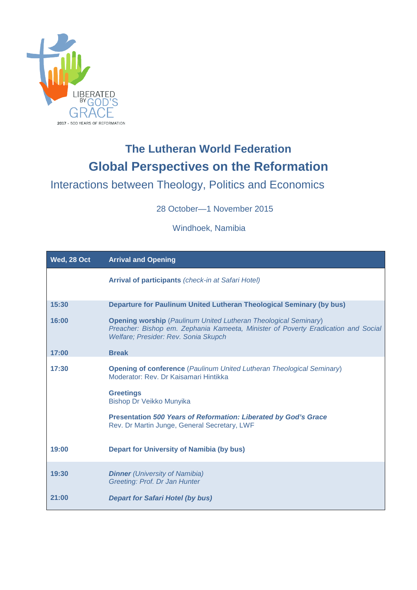

## **The Lutheran World Federation Global Perspectives on the Reformation**

Interactions between Theology, Politics and Economics

28 October—1 November 2015

Windhoek, Namibia

| Wed, 28 Oct | <b>Arrival and Opening</b>                                                                                                                                                                                                                                                                      |
|-------------|-------------------------------------------------------------------------------------------------------------------------------------------------------------------------------------------------------------------------------------------------------------------------------------------------|
|             | <b>Arrival of participants</b> (check-in at Safari Hotel)                                                                                                                                                                                                                                       |
| 15:30       | Departure for Paulinum United Lutheran Theological Seminary (by bus)                                                                                                                                                                                                                            |
| 16:00       | <b>Opening worship</b> (Paulinum United Lutheran Theological Seminary)<br>Preacher: Bishop em. Zephania Kameeta, Minister of Poverty Eradication and Social<br>Welfare; Presider: Rev. Sonia Skupch                                                                                             |
| 17:00       | <b>Break</b>                                                                                                                                                                                                                                                                                    |
| 17:30       | <b>Opening of conference</b> (Paulinum United Lutheran Theological Seminary)<br>Moderator: Rev. Dr Kaisamari Hintikka<br><b>Greetings</b><br>Bishop Dr Veikko Munyika<br><b>Presentation 500 Years of Reformation: Liberated by God's Grace</b><br>Rev. Dr Martin Junge, General Secretary, LWF |
| 19:00       | <b>Depart for University of Namibia (by bus)</b>                                                                                                                                                                                                                                                |
| 19:30       | <b>Dinner</b> (University of Namibia)<br>Greeting: Prof. Dr Jan Hunter                                                                                                                                                                                                                          |
| 21:00       | <b>Depart for Safari Hotel (by bus)</b>                                                                                                                                                                                                                                                         |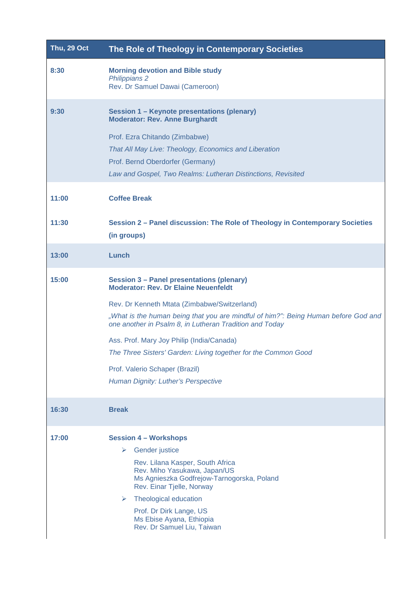| <b>Thu, 29 Oct</b> | The Role of Theology in Contemporary Societies                                                                                                                                                                                                                                                                                                                                                                                                                                           |
|--------------------|------------------------------------------------------------------------------------------------------------------------------------------------------------------------------------------------------------------------------------------------------------------------------------------------------------------------------------------------------------------------------------------------------------------------------------------------------------------------------------------|
| 8:30               | <b>Morning devotion and Bible study</b><br><b>Philippians 2</b><br>Rev. Dr Samuel Dawai (Cameroon)                                                                                                                                                                                                                                                                                                                                                                                       |
| 9:30               | Session 1 - Keynote presentations (plenary)<br><b>Moderator: Rev. Anne Burghardt</b><br>Prof. Ezra Chitando (Zimbabwe)<br>That All May Live: Theology, Economics and Liberation<br>Prof. Bernd Oberdorfer (Germany)<br>Law and Gospel, Two Realms: Lutheran Distinctions, Revisited                                                                                                                                                                                                      |
| 11:00              | <b>Coffee Break</b>                                                                                                                                                                                                                                                                                                                                                                                                                                                                      |
| 11:30              | Session 2 - Panel discussion: The Role of Theology in Contemporary Societies<br>(in groups)                                                                                                                                                                                                                                                                                                                                                                                              |
| 13:00              | Lunch                                                                                                                                                                                                                                                                                                                                                                                                                                                                                    |
| 15:00              | <b>Session 3 - Panel presentations (plenary)</b><br><b>Moderator: Rev. Dr Elaine Neuenfeldt</b><br>Rev. Dr Kenneth Mtata (Zimbabwe/Switzerland)<br>"What is the human being that you are mindful of him?": Being Human before God and<br>one another in Psalm 8, in Lutheran Tradition and Today<br>Ass. Prof. Mary Joy Philip (India/Canada)<br>The Three Sisters' Garden: Living together for the Common Good<br>Prof. Valerio Schaper (Brazil)<br>Human Dignity: Luther's Perspective |
| 16:30              | <b>Break</b>                                                                                                                                                                                                                                                                                                                                                                                                                                                                             |
| 17:00              | <b>Session 4 - Workshops</b><br><b>Gender</b> justice<br>➤<br>Rev. Lilana Kasper, South Africa<br>Rev. Miho Yasukawa, Japan/US<br>Ms Agnieszka Godfrejow-Tarnogorska, Poland<br>Rev. Einar Tjelle, Norway<br>Theological education<br>➤<br>Prof. Dr Dirk Lange, US<br>Ms Ebise Ayana, Ethiopia<br>Rev. Dr Samuel Liu, Taiwan                                                                                                                                                             |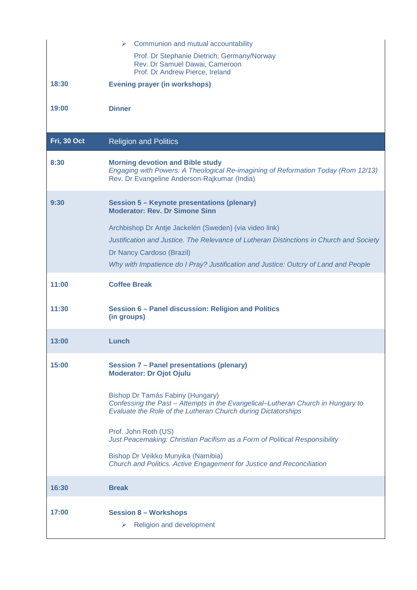|             | $\triangleright$ Communion and mutual accountability                                                                                                                                 |
|-------------|--------------------------------------------------------------------------------------------------------------------------------------------------------------------------------------|
|             | Prof. Dr Stephanie Dietrich, Germany/Norway<br>Rev. Dr Samuel Dawai, Cameroon<br>Prof. Dr Andrew Pierce, Ireland                                                                     |
| 18:30       | <b>Evening prayer (in workshops)</b>                                                                                                                                                 |
|             |                                                                                                                                                                                      |
| 19:00       | <b>Dinner</b>                                                                                                                                                                        |
|             |                                                                                                                                                                                      |
| Fri, 30 Oct | <b>Religion and Politics</b>                                                                                                                                                         |
| 8:30        | <b>Morning devotion and Bible study</b><br>Engaging with Powers: A Theological Re-imagining of Reformation Today (Rom 12/13)<br>Rev. Dr Evangeline Anderson-Rajkumar (India)         |
| 9:30        | <b>Session 5 - Keynote presentations (plenary)</b><br><b>Moderator: Rev. Dr Simone Sinn</b>                                                                                          |
|             | Archbishop Dr Antje Jackelén (Sweden) (via video link)                                                                                                                               |
|             | Justification and Justice. The Relevance of Lutheran Distinctions in Church and Society                                                                                              |
|             | Dr Nancy Cardoso (Brazil)                                                                                                                                                            |
|             | Why with Impatience do I Pray? Justification and Justice: Outcry of Land and People                                                                                                  |
| 11:00       | <b>Coffee Break</b>                                                                                                                                                                  |
| 11:30       | Session 6 - Panel discussion: Religion and Politics<br>(in groups)                                                                                                                   |
| 13:00       | Lunch                                                                                                                                                                                |
| 15:00       | Session 7 - Panel presentations (plenary)<br><b>Moderator: Dr Ojot Ojulu</b>                                                                                                         |
|             | Bishop Dr Tamás Fabiny (Hungary)<br>Confessing the Past - Attempts in the Evangelical-Lutheran Church in Hungary to<br>Evaluate the Role of the Lutheran Church during Dictatorships |
|             | Prof. John Roth (US)<br>Just Peacemaking: Christian Pacifism as a Form of Political Responsibility                                                                                   |
|             | Bishop Dr Veikko Munyika (Namibia)<br>Church and Politics. Active Engagement for Justice and Reconciliation                                                                          |
| 16:30       | <b>Break</b>                                                                                                                                                                         |
| 17:00       | <b>Session 8 - Workshops</b><br><b>Religion and development</b>                                                                                                                      |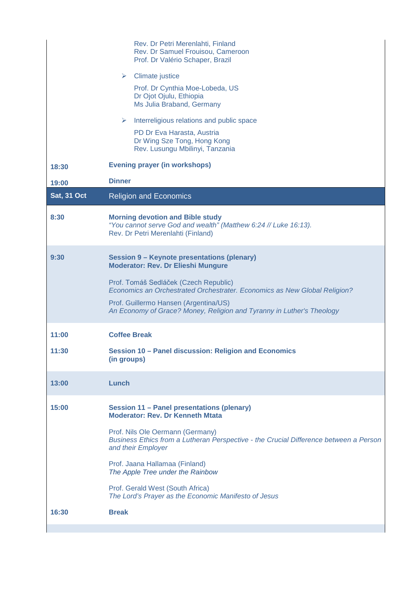|                    | Rev. Dr Petri Merenlahti, Finland<br>Rev. Dr Samuel Frouisou, Cameroon<br>Prof. Dr Valério Schaper, Brazil                                                                                                                                                                                                                              |
|--------------------|-----------------------------------------------------------------------------------------------------------------------------------------------------------------------------------------------------------------------------------------------------------------------------------------------------------------------------------------|
|                    | $\triangleright$ Climate justice                                                                                                                                                                                                                                                                                                        |
|                    | Prof. Dr Cynthia Moe-Lobeda, US<br>Dr Ojot Ojulu, Ethiopia<br>Ms Julia Braband, Germany                                                                                                                                                                                                                                                 |
|                    | Interreligious relations and public space<br>➤                                                                                                                                                                                                                                                                                          |
|                    | PD Dr Eva Harasta, Austria<br>Dr Wing Sze Tong, Hong Kong<br>Rev. Lusungu Mbilinyi, Tanzania                                                                                                                                                                                                                                            |
| 18:30              | <b>Evening prayer (in workshops)</b>                                                                                                                                                                                                                                                                                                    |
| 19:00              | <b>Dinner</b>                                                                                                                                                                                                                                                                                                                           |
| <b>Sat, 31 Oct</b> | <b>Religion and Economics</b>                                                                                                                                                                                                                                                                                                           |
| 8:30               | <b>Morning devotion and Bible study</b><br>"You cannot serve God and wealth" (Matthew 6:24 // Luke 16:13).<br>Rev. Dr Petri Merenlahti (Finland)                                                                                                                                                                                        |
| 9:30               | <b>Session 9 - Keynote presentations (plenary)</b><br><b>Moderator: Rev. Dr Elieshi Mungure</b><br>Prof. Tomáš Sedláček (Czech Republic)<br>Economics an Orchestrated Orchestrater. Economics as New Global Religion?<br>Prof. Guillermo Hansen (Argentina/US)<br>An Economy of Grace? Money, Religion and Tyranny in Luther's Theology |
| 11:00              | <b>Coffee Break</b>                                                                                                                                                                                                                                                                                                                     |
| 11:30              | Session 10 - Panel discussion: Religion and Economics<br>(in groups)                                                                                                                                                                                                                                                                    |
| 13:00              | Lunch                                                                                                                                                                                                                                                                                                                                   |
| 15:00              | Session 11 - Panel presentations (plenary)<br><b>Moderator: Rev. Dr Kenneth Mtata</b>                                                                                                                                                                                                                                                   |
|                    | Prof. Nils Ole Oermann (Germany)<br>Business Ethics from a Lutheran Perspective - the Crucial Difference between a Person<br>and their Employer                                                                                                                                                                                         |
|                    | Prof. Jaana Hallamaa (Finland)<br>The Apple Tree under the Rainbow                                                                                                                                                                                                                                                                      |
|                    | Prof. Gerald West (South Africa)<br>The Lord's Prayer as the Economic Manifesto of Jesus                                                                                                                                                                                                                                                |
| 16:30              | <b>Break</b>                                                                                                                                                                                                                                                                                                                            |
|                    |                                                                                                                                                                                                                                                                                                                                         |